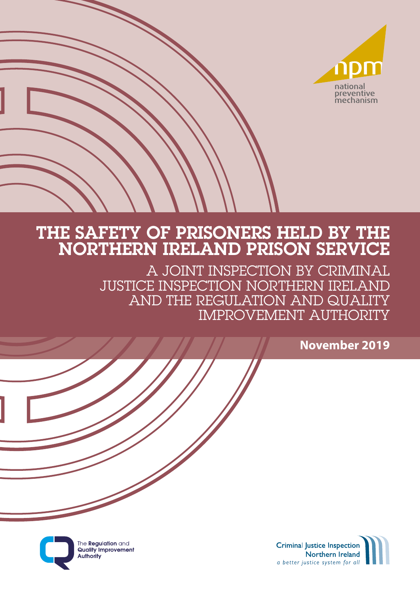

### THE SAFETY OF PRISONERS HELD BY THE NORTHERN IRELAND PRISON SERVICE

A JOINT INSPECTION BY CRIMINAL JUSTICE INSPECTION NORTHERN IRELAND AND THE REGULATION AND QUALITY IMPROVEMENT AUTHORITY

**November 2019**



The Regulation and<br>Quality Improvement **Authority**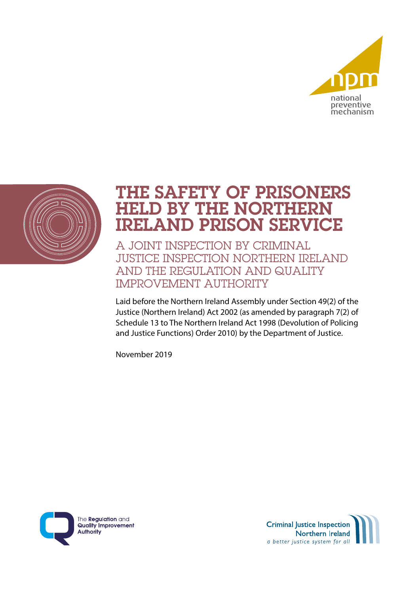



## THE SAFETY OF PRISONERS **ELD BY THE NORTHERN** IRELAND PRISON SERVICE

A JOINT INSPECTION BY CRIMINAL JUSTICE INSPECTION NORTHERN IRELAND AND THE REGULATION AND QUALITY IMPROVEMENT AUTHORITY

Laid before the Northern Ireland Assembly under Section 49(2) of the Justice (Northern Ireland) Act 2002 (as amended by paragraph 7(2) of Schedule 13 to The Northern Ireland Act 1998 (Devolution of Policing and Justice Functions) Order 2010) by the Department of Justice.

November 2019



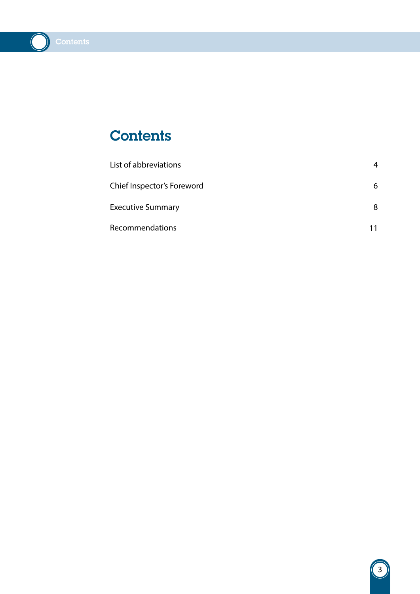<span id="page-2-0"></span>

## **Contents**

| List of abbreviations      | 4 |
|----------------------------|---|
| Chief Inspector's Foreword | 6 |
| <b>Executive Summary</b>   | 8 |
| Recommendations            |   |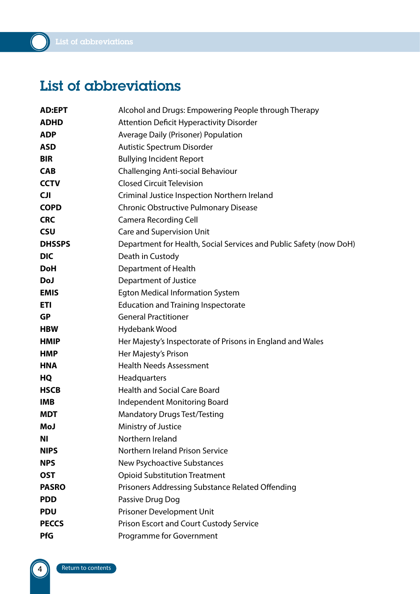### List of abbreviations

| <b>AD:EPT</b> | Alcohol and Drugs: Empowering People through Therapy               |
|---------------|--------------------------------------------------------------------|
| <b>ADHD</b>   | <b>Attention Deficit Hyperactivity Disorder</b>                    |
| <b>ADP</b>    | Average Daily (Prisoner) Population                                |
| <b>ASD</b>    | Autistic Spectrum Disorder                                         |
| <b>BIR</b>    | <b>Bullying Incident Report</b>                                    |
| <b>CAB</b>    | <b>Challenging Anti-social Behaviour</b>                           |
| <b>CCTV</b>   | <b>Closed Circuit Television</b>                                   |
| <b>CJI</b>    | Criminal Justice Inspection Northern Ireland                       |
| <b>COPD</b>   | <b>Chronic Obstructive Pulmonary Disease</b>                       |
| <b>CRC</b>    | <b>Camera Recording Cell</b>                                       |
| <b>CSU</b>    | <b>Care and Supervision Unit</b>                                   |
| <b>DHSSPS</b> | Department for Health, Social Services and Public Safety (now DoH) |
| <b>DIC</b>    | Death in Custody                                                   |
| <b>DoH</b>    | Department of Health                                               |
| <b>DoJ</b>    | Department of Justice                                              |
| <b>EMIS</b>   | <b>Egton Medical Information System</b>                            |
| <b>ETI</b>    | <b>Education and Training Inspectorate</b>                         |
| <b>GP</b>     | <b>General Practitioner</b>                                        |
| <b>HBW</b>    | Hydebank Wood                                                      |
| <b>HMIP</b>   | Her Majesty's Inspectorate of Prisons in England and Wales         |
| <b>HMP</b>    | Her Majesty's Prison                                               |
| <b>HNA</b>    | <b>Health Needs Assessment</b>                                     |
| HQ            | Headquarters                                                       |
| <b>HSCB</b>   | <b>Health and Social Care Board</b>                                |
| <b>IMB</b>    | Independent Monitoring Board                                       |
| <b>MDT</b>    | <b>Mandatory Drugs Test/Testing</b>                                |
| MoJ           | Ministry of Justice                                                |
| ΝI            | Northern Ireland                                                   |
| <b>NIPS</b>   | Northern Ireland Prison Service                                    |
| <b>NPS</b>    | <b>New Psychoactive Substances</b>                                 |
| <b>OST</b>    | <b>Opioid Substitution Treatment</b>                               |
| <b>PASRO</b>  | Prisoners Addressing Substance Related Offending                   |
| <b>PDD</b>    | Passive Drug Dog                                                   |
| <b>PDU</b>    | Prisoner Development Unit                                          |
| <b>PECCS</b>  | Prison Escort and Court Custody Service                            |
| <b>PfG</b>    | Programme for Government                                           |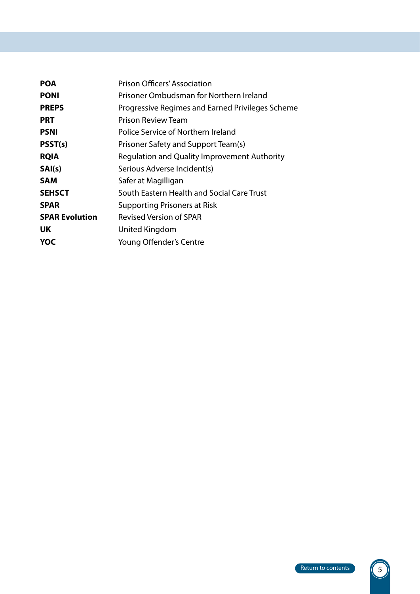| <b>POA</b>            | <b>Prison Officers' Association</b>                 |
|-----------------------|-----------------------------------------------------|
| <b>PONI</b>           | Prisoner Ombudsman for Northern Ireland             |
| <b>PREPS</b>          | Progressive Regimes and Earned Privileges Scheme    |
| <b>PRT</b>            | Prison Review Team                                  |
| <b>PSNI</b>           | Police Service of Northern Ireland                  |
| PSST(s)               | Prisoner Safety and Support Team(s)                 |
| <b>RQIA</b>           | <b>Regulation and Quality Improvement Authority</b> |
| SAI(s)                | Serious Adverse Incident(s)                         |
| <b>SAM</b>            | Safer at Magilligan                                 |
| <b>SEHSCT</b>         | South Eastern Health and Social Care Trust          |
| <b>SPAR</b>           | <b>Supporting Prisoners at Risk</b>                 |
| <b>SPAR Evolution</b> | <b>Revised Version of SPAR</b>                      |
| UK.                   | United Kingdom                                      |
| YOC                   | <b>Young Offender's Centre</b>                      |
|                       |                                                     |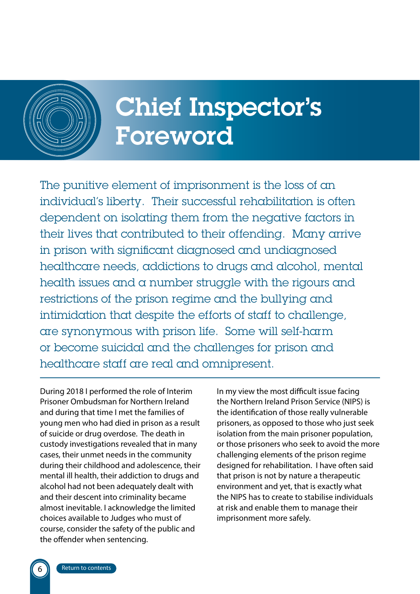

## Chief Inspector's Foreword

The punitive element of imprisonment is the loss of an individual's liberty. Their successful rehabilitation is often dependent on isolating them from the negative factors in their lives that contributed to their offending. Many arrive in prison with significant diagnosed and undiagnosed healthcare needs, addictions to drugs and alcohol, mental health issues and a number struggle with the rigours and restrictions of the prison regime and the bullying and intimidation that despite the efforts of staff to challenge, are synonymous with prison life. Some will self-harm or become suicidal and the challenges for prison and healthcare staff are real and omnipresent.

During 2018 I performed the role of Interim Prisoner Ombudsman for Northern Ireland and during that time I met the families of young men who had died in prison as a result of suicide or drug overdose. The death in custody investigations revealed that in many cases, their unmet needs in the community during their childhood and adolescence, their mental ill health, their addiction to drugs and alcohol had not been adequately dealt with and their descent into criminality became almost inevitable. I acknowledge the limited choices available to Judges who must of course, consider the safety of the public and the offender when sentencing.

In my view the most difficult issue facing the Northern Ireland Prison Service (NIPS) is the identification of those really vulnerable prisoners, as opposed to those who just seek isolation from the main prisoner population, or those prisoners who seek to avoid the more challenging elements of the prison regime designed for rehabilitation. I have often said that prison is not by nature a therapeutic environment and yet, that is exactly what the NIPS has to create to stabilise individuals at risk and enable them to manage their imprisonment more safely.

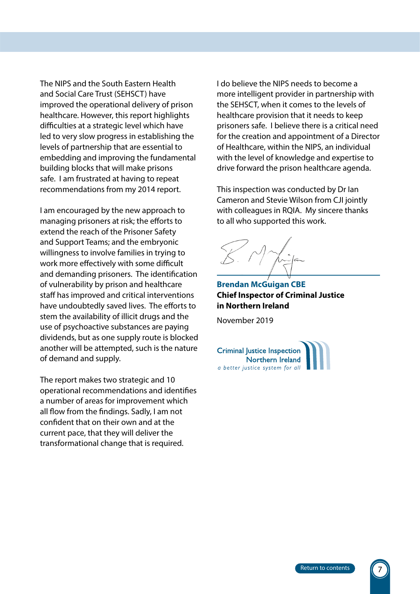The NIPS and the South Eastern Health and Social Care Trust (SEHSCT) have improved the operational delivery of prison healthcare. However, this report highlights difficulties at a strategic level which have led to very slow progress in establishing the levels of partnership that are essential to embedding and improving the fundamental building blocks that will make prisons safe. I am frustrated at having to repeat recommendations from my 2014 report.

I am encouraged by the new approach to managing prisoners at risk; the efforts to extend the reach of the Prisoner Safety and Support Teams; and the embryonic willingness to involve families in trying to work more effectively with some difficult and demanding prisoners. The identification of vulnerability by prison and healthcare staff has improved and critical interventions have undoubtedly saved lives. The efforts to stem the availability of illicit drugs and the use of psychoactive substances are paying dividends, but as one supply route is blocked another will be attempted, such is the nature of demand and supply.

The report makes two strategic and 10 operational recommendations and identifies a number of areas for improvement which all flow from the findings. Sadly, I am not confident that on their own and at the current pace, that they will deliver the transformational change that is required.

I do believe the NIPS needs to become a more intelligent provider in partnership with the SEHSCT, when it comes to the levels of healthcare provision that it needs to keep prisoners safe. I believe there is a critical need for the creation and appointment of a Director of Healthcare, within the NIPS, an individual with the level of knowledge and expertise to drive forward the prison healthcare agenda.

This inspection was conducted by Dr Ian Cameron and Stevie Wilson from CJI jointly with colleagues in RQIA. My sincere thanks to all who supported this work.

**Brendan McGuigan CBE Chief Inspector of Criminal Justice in Northern Ireland**

November 2019

**Criminal Justice Inspection** Northern Ireland a better justice system for all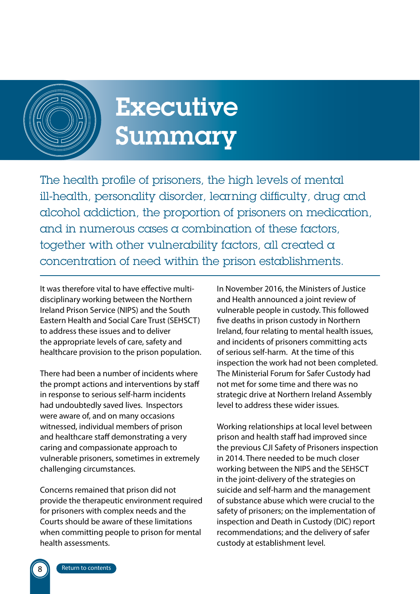

# Executive Summary

The health profile of prisoners, the high levels of mental ill-health, personality disorder, learning difficulty, drug and alcohol addiction, the proportion of prisoners on medication, and in numerous cases a combination of these factors, together with other vulnerability factors, all created a concentration of need within the prison establishments.

It was therefore vital to have effective multidisciplinary working between the Northern Ireland Prison Service (NIPS) and the South Eastern Health and Social Care Trust (SEHSCT) to address these issues and to deliver the appropriate levels of care, safety and healthcare provision to the prison population.

There had been a number of incidents where the prompt actions and interventions by staff in response to serious self-harm incidents had undoubtedly saved lives. Inspectors were aware of, and on many occasions witnessed, individual members of prison and healthcare staff demonstrating a very caring and compassionate approach to vulnerable prisoners, sometimes in extremely challenging circumstances.

Concerns remained that prison did not provide the therapeutic environment required for prisoners with complex needs and the Courts should be aware of these limitations when committing people to prison for mental health assessments.

In November 2016, the Ministers of Justice and Health announced a joint review of vulnerable people in custody. This followed five deaths in prison custody in Northern Ireland, four relating to mental health issues, and incidents of prisoners committing acts of serious self-harm. At the time of this inspection the work had not been completed. The Ministerial Forum for Safer Custody had not met for some time and there was no strategic drive at Northern Ireland Assembly level to address these wider issues.

Working relationships at local level between prison and health staff had improved since the previous CJI Safety of Prisoners inspection in 2014. There needed to be much closer working between the NIPS and the SEHSCT in the joint-delivery of the strategies on suicide and self-harm and the management of substance abuse which were crucial to the safety of prisoners; on the implementation of inspection and Death in Custody (DIC) report recommendations; and the delivery of safer custody at establishment level.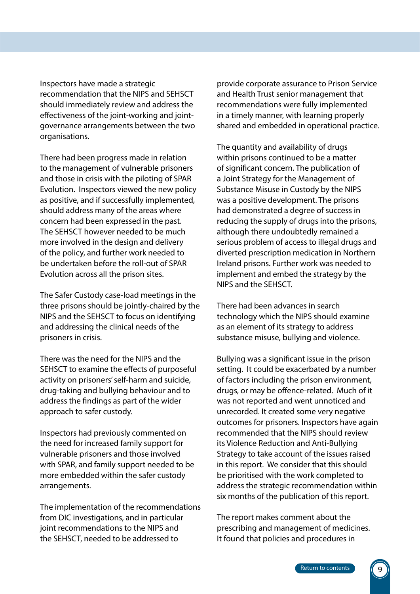Inspectors have made a strategic recommendation that the NIPS and SEHSCT should immediately review and address the effectiveness of the joint-working and jointgovernance arrangements between the two organisations.

There had been progress made in relation to the management of vulnerable prisoners and those in crisis with the piloting of SPAR Evolution. Inspectors viewed the new policy as positive, and if successfully implemented, should address many of the areas where concern had been expressed in the past. The SEHSCT however needed to be much more involved in the design and delivery of the policy, and further work needed to be undertaken before the roll-out of SPAR Evolution across all the prison sites.

The Safer Custody case-load meetings in the three prisons should be jointly-chaired by the NIPS and the SEHSCT to focus on identifying and addressing the clinical needs of the prisoners in crisis.

There was the need for the NIPS and the SEHSCT to examine the effects of purposeful activity on prisoners' self-harm and suicide, drug-taking and bullying behaviour and to address the findings as part of the wider approach to safer custody.

Inspectors had previously commented on the need for increased family support for vulnerable prisoners and those involved with SPAR, and family support needed to be more embedded within the safer custody arrangements.

The implementation of the recommendations from DIC investigations, and in particular joint recommendations to the NIPS and the SEHSCT, needed to be addressed to

provide corporate assurance to Prison Service and Health Trust senior management that recommendations were fully implemented in a timely manner, with learning properly shared and embedded in operational practice.

The quantity and availability of drugs within prisons continued to be a matter of significant concern. The publication of a Joint Strategy for the Management of Substance Misuse in Custody by the NIPS was a positive development. The prisons had demonstrated a degree of success in reducing the supply of drugs into the prisons, although there undoubtedly remained a serious problem of access to illegal drugs and diverted prescription medication in Northern Ireland prisons. Further work was needed to implement and embed the strategy by the NIPS and the SEHSCT.

There had been advances in search technology which the NIPS should examine as an element of its strategy to address substance misuse, bullying and violence.

Bullying was a significant issue in the prison setting. It could be exacerbated by a number of factors including the prison environment, drugs, or may be offence-related. Much of it was not reported and went unnoticed and unrecorded. It created some very negative outcomes for prisoners. Inspectors have again recommended that the NIPS should review its Violence Reduction and Anti-Bullying Strategy to take account of the issues raised in this report. We consider that this should be prioritised with the work completed to address the strategic recommendation within six months of the publication of this report.

The report makes comment about the prescribing and management of medicines. It found that policies and procedures in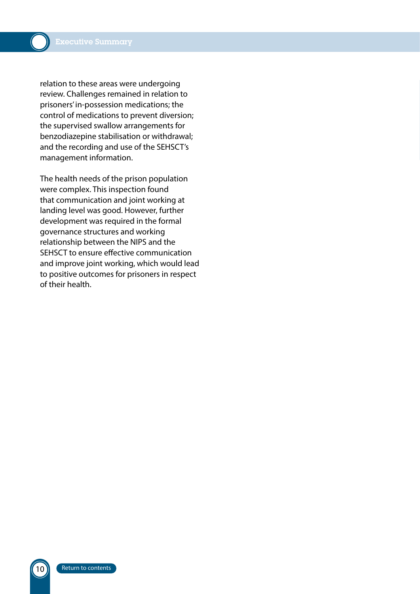relation to these areas were undergoing review. Challenges remained in relation to prisoners' in-possession medications; the control of medications to prevent diversion; the supervised swallow arrangements for benzodiazepine stabilisation or withdrawal; and the recording and use of the SEHSCT's management information.

The health needs of the prison population were complex. This inspection found that communication and joint working at landing level was good. However, further development was required in the formal governance structures and working relationship between the NIPS and the SEHSCT to ensure effective communication and improve joint working, which would lead to positive outcomes for prisoners in respect of their health.

[Return to contents](#page-2-0)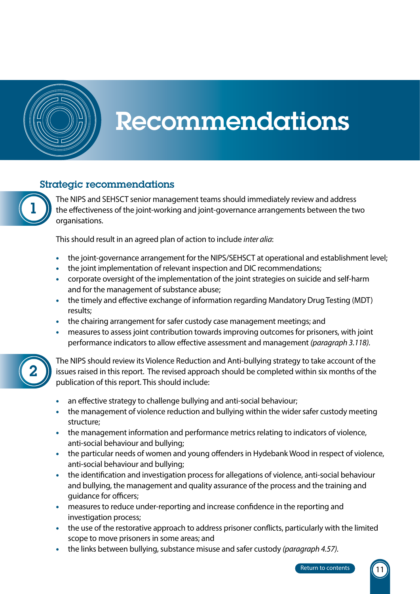

## Recommendations

#### Strategic recommendations

1

The NIPS and SEHSCT senior management teams should immediately review and address the effectiveness of the joint-working and joint-governance arrangements between the two organisations.

This should result in an agreed plan of action to include *inter alia*:

- the joint-governance arrangement for the NIPS/SEHSCT at operational and establishment level;
- the joint implementation of relevant inspection and DIC recommendations;
- corporate oversight of the implementation of the joint strategies on suicide and self-harm and for the management of substance abuse;
- the timely and effective exchange of information regarding Mandatory Drug Testing (MDT) results;
- the chairing arrangement for safer custody case management meetings; and
- measures to assess joint contribution towards improving outcomes for prisoners, with joint performance indicators to allow effective assessment and management *(paragraph 3.118).*



The NIPS should review its Violence Reduction and Anti-bullying strategy to take account of the issues raised in this report. The revised approach should be completed within six months of the publication of this report. This should include:

- an effective strategy to challenge bullying and anti-social behaviour;
- the management of violence reduction and bullying within the wider safer custody meeting structure;
- the management information and performance metrics relating to indicators of violence, anti-social behaviour and bullying;
- the particular needs of women and young offenders in Hydebank Wood in respect of violence, anti-social behaviour and bullying;
- the identification and investigation process for allegations of violence, anti-social behaviour and bullying, the management and quality assurance of the process and the training and guidance for officers;
- measures to reduce under-reporting and increase confidence in the reporting and investigation process;
- the use of the restorative approach to address prisoner conflicts, particularly with the limited scope to move prisoners in some areas; and
- the links between bullying, substance misuse and safer custody *(paragraph 4.57).*

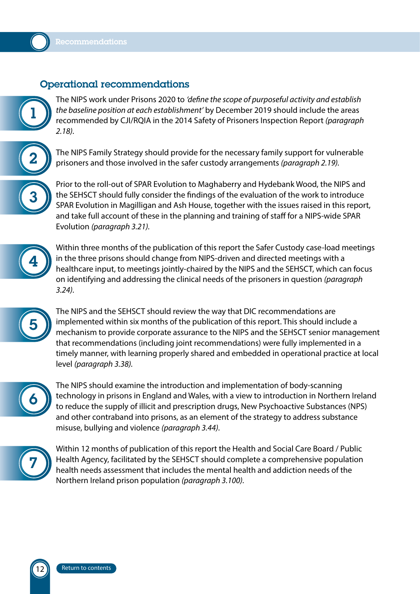

#### Operational recommendations

The NIPS work under Prisons 2020 to *'define the scope of purposeful activity and establish the baseline position at each establishment'* by December 2019 should include the areas recommended by CJI/RQIA in the 2014 Safety of Prisoners Inspection Report *(paragraph 2.18).*



1

The NIPS Family Strategy should provide for the necessary family support for vulnerable prisoners and those involved in the safer custody arrangements *(paragraph 2.19).*



Prior to the roll-out of SPAR Evolution to Maghaberry and Hydebank Wood, the NIPS and the SEHSCT should fully consider the findings of the evaluation of the work to introduce SPAR Evolution in Magilligan and Ash House, together with the issues raised in this report, and take full account of these in the planning and training of staff for a NIPS-wide SPAR Evolution *(paragraph 3.21).*



Within three months of the publication of this report the Safer Custody case-load meetings in the three prisons should change from NIPS-driven and directed meetings with a healthcare input, to meetings jointly-chaired by the NIPS and the SEHSCT, which can focus on identifying and addressing the clinical needs of the prisoners in question *(paragraph 3.24).*



The NIPS and the SEHSCT should review the way that DIC recommendations are implemented within six months of the publication of this report. This should include a mechanism to provide corporate assurance to the NIPS and the SEHSCT senior management that recommendations (including joint recommendations) were fully implemented in a timely manner, with learning properly shared and embedded in operational practice at local level *(paragraph 3.38).*



The NIPS should examine the introduction and implementation of body-scanning technology in prisons in England and Wales, with a view to introduction in Northern Ireland to reduce the supply of illicit and prescription drugs, New Psychoactive Substances (NPS) and other contraband into prisons, as an element of the strategy to address substance misuse, bullying and violence *(paragraph 3.44).*



12

Within 12 months of publication of this report the Health and Social Care Board / Public Health Agency, facilitated by the SEHSCT should complete a comprehensive population health needs assessment that includes the mental health and addiction needs of the Northern Ireland prison population *(paragraph 3.100).*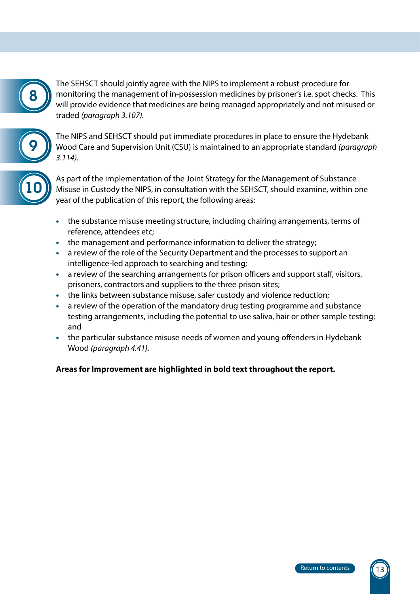

The SEHSCT should jointly agree with the NIPS to implement a robust procedure for monitoring the management of in-possession medicines by prisoner's i.e. spot checks. This will provide evidence that medicines are being managed appropriately and not misused or traded *(paragraph 3.107).*



The NIPS and SEHSCT should put immediate procedures in place to ensure the Hydebank Wood Care and Supervision Unit (CSU) is maintained to an appropriate standard *(paragraph 3.114).*



As part of the implementation of the Joint Strategy for the Management of Substance Misuse in Custody the NIPS, in consultation with the SEHSCT, should examine, within one year of the publication of this report, the following areas:

- the substance misuse meeting structure, including chairing arrangements, terms of reference, attendees etc;
- the management and performance information to deliver the strategy;
- a review of the role of the Security Department and the processes to support an intelligence-led approach to searching and testing;
- a review of the searching arrangements for prison officers and support staff, visitors, prisoners, contractors and suppliers to the three prison sites;
- the links between substance misuse, safer custody and violence reduction;
- a review of the operation of the mandatory drug testing programme and substance testing arrangements, including the potential to use saliva, hair or other sample testing; and
- the particular substance misuse needs of women and young offenders in Hydebank Wood *(paragraph 4.41).*

#### **Areas for Improvement are highlighted in bold text throughout the report.**